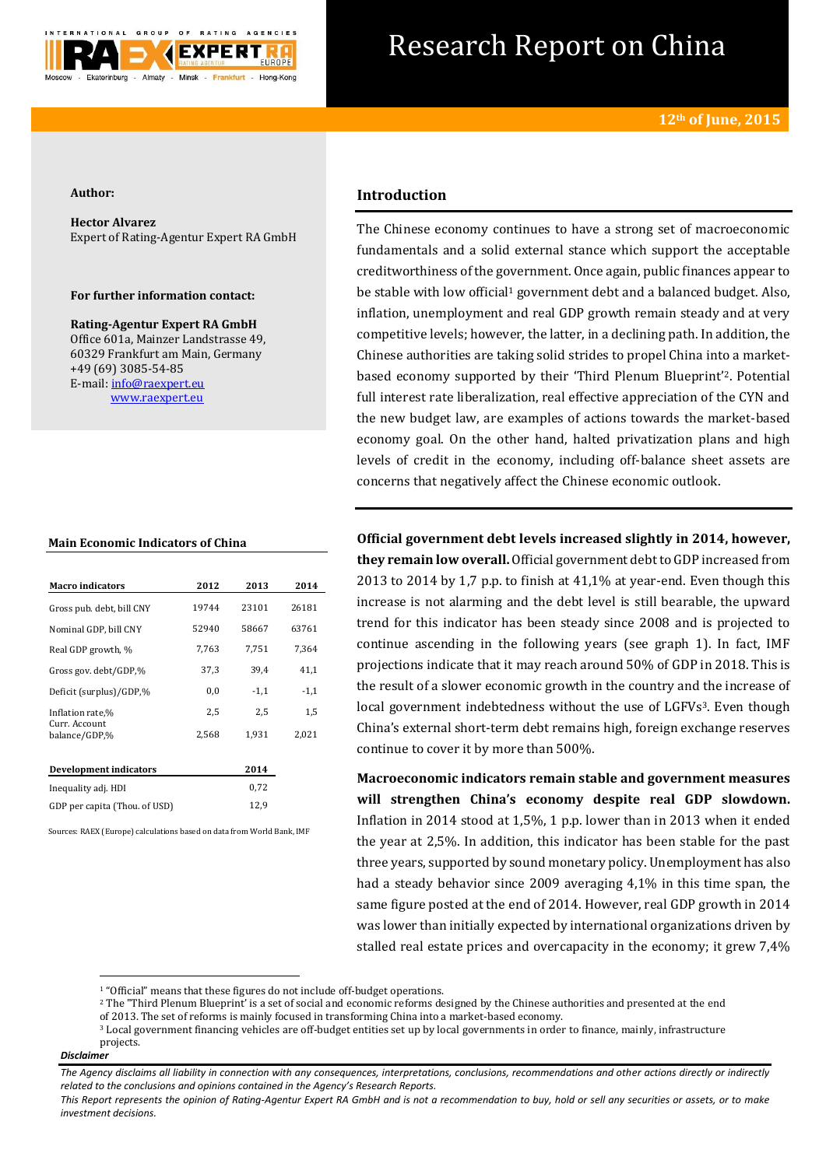

# Research Report on China

#### **Author:**

**Hector Alvarez** Expert of Rating-Agentur Expert RA GmbH

#### **For further information contact:**

**Rating-Agentur Expert RA GmbH** Office 601a, Mainzer Landstrasse 49, 60329 Frankfurt am Main, Germany +49 (69) 3085-54-85 E-mail[: info@raexpert.eu](mailto:info@raexpert.eu) [www.raexpert.eu](http://raexpert.eu/)

#### **Main Economic Indicators of China**

| <b>Macro indicators</b>        | 2012  | 2013   | 2014   |
|--------------------------------|-------|--------|--------|
| Gross pub. debt, bill CNY      | 19744 | 23101  | 26181  |
| Nominal GDP, bill CNY          | 52940 | 58667  | 63761  |
| Real GDP growth, %             | 7,763 | 7,751  | 7.364  |
| Gross gov. debt/GDP,%          | 37,3  | 39.4   | 41,1   |
| Deficit (surplus)/GDP,%        | 0,0   | $-1,1$ | $-1,1$ |
| Inflation rate,%               | 2,5   | 2,5    | 1,5    |
| Curr. Account<br>balance/GDP,% | 2,568 | 1,931  | 2,021  |
|                                |       |        |        |
| <b>Development indicators</b>  |       | 2014   |        |
| Inequality adj. HDI            |       | 0,72   |        |
| GDP per capita (Thou. of USD)  |       | 12,9   |        |

Sources: RAEX (Europe) calculations based on data from World Bank, IMF

## **Introduction**

The Chinese economy continues to have a strong set of macroeconomic fundamentals and a solid external stance which support the acceptable creditworthiness of the government. Once again, public finances appear to be stable with low official<sup>1</sup> government debt and a balanced budget. Also, inflation, unemployment and real GDP growth remain steady and at very competitive levels; however, the latter, in a declining path. In addition, the Chinese authorities are taking solid strides to propel China into a marketbased economy supported by their 'Third Plenum Blueprint'2. Potential full interest rate liberalization, real effective appreciation of the CYN and the new budget law, are examples of actions towards the market-based economy goal. On the other hand, halted privatization plans and high levels of credit in the economy, including off-balance sheet assets are concerns that negatively affect the Chinese economic outlook.

**Official government debt levels increased slightly in 2014, however, they remain low overall.** Official government debt to GDP increased from 2013 to 2014 by 1,7 p.p. to finish at 41,1% at year-end. Even though this increase is not alarming and the debt level is still bearable, the upward trend for this indicator has been steady since 2008 and is projected to continue ascending in the following years (see graph 1). In fact, IMF projections indicate that it may reach around 50% of GDP in 2018. This is the result of a slower economic growth in the country and the increase of local government indebtedness without the use of LGFVs<sup>3</sup>. Even though China's external short-term debt remains high, foreign exchange reserves continue to cover it by more than 500%.

**Macroeconomic indicators remain stable and government measures will strengthen China's economy despite real GDP slowdown.** Inflation in 2014 stood at 1,5%, 1 p.p. lower than in 2013 when it ended the year at 2,5%. In addition, this indicator has been stable for the past three years, supported by sound monetary policy. Unemployment has also had a steady behavior since 2009 averaging 4,1% in this time span, the same figure posted at the end of 2014. However, real GDP growth in 2014 was lower than initially expected by international organizations driven by stalled real estate prices and overcapacity in the economy; it grew 7,4%

**.** 

<sup>&</sup>lt;sup>1</sup> "Official" means that these figures do not include off-budget operations.

<sup>&</sup>lt;sup>2</sup> The "Third Plenum Blueprint' is a set of social and economic reforms designed by the Chinese authorities and presented at the end

of 2013. The set of reforms is mainly focused in transforming China into a market-based economy.

<sup>3</sup> Local government financing vehicles are off-budget entities set up by local governments in order to finance, mainly, infrastructure projects.

*Disclaimer* 

*The Agency disclaims all liability in connection with any consequences, interpretations, conclusions, recommendations and other actions directly or indirectly related to the conclusions and opinions contained in the Agency's Research Reports.*

*This Report represents the opinion of Rating-Agentur Expert RA GmbH and is not a recommendation to buy, hold or sell any securities or assets, or to make investment decisions.*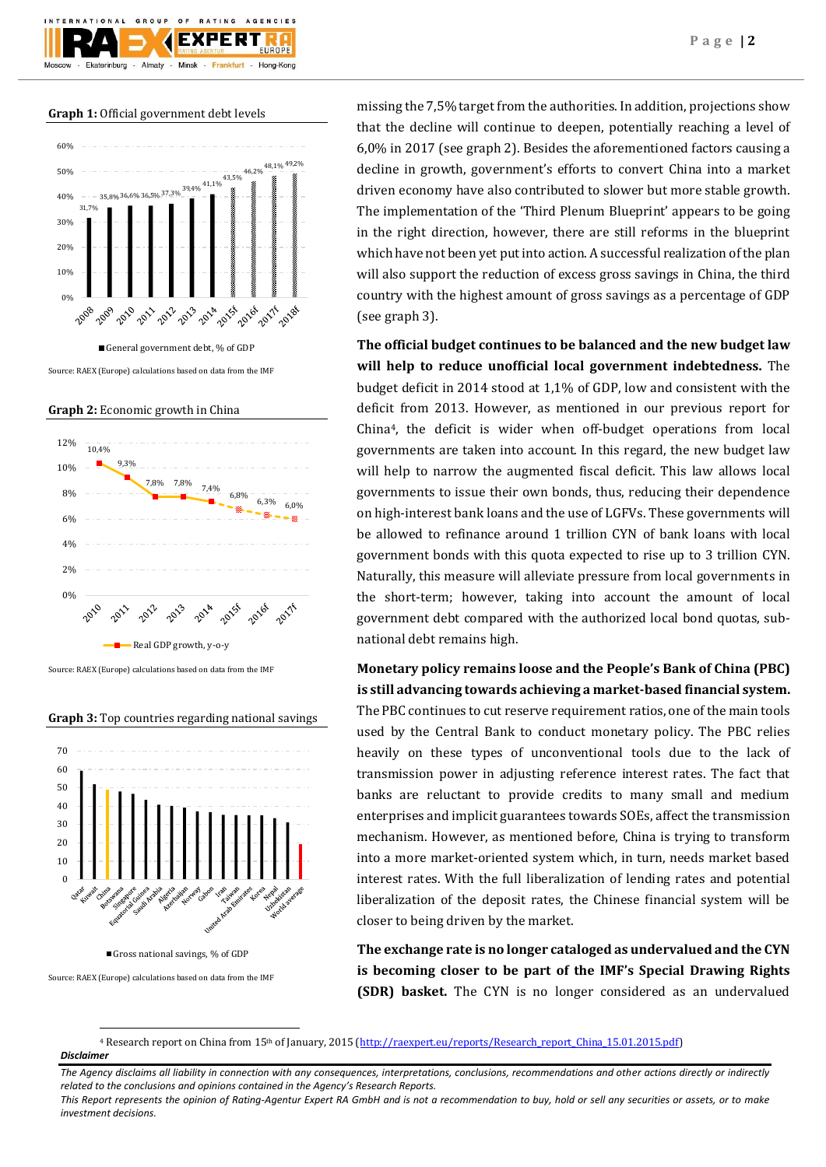**Graph 1:** Official government debt levels



Source: RAEX (Europe) calculations based on data from the IMF

**Graph 2:** Economic growth in China



Source: RAEX (Europe) calculations based on data from the IMF

**Graph 3:** Top countries regarding national savings



Source: RAEX (Europe) calculations based on data from the IMF

**.** 

missing the 7,5% target from the authorities. In addition, projections show that the decline will continue to deepen, potentially reaching a level of 6,0% in 2017 (see graph 2). Besides the aforementioned factors causing a decline in growth, government's efforts to convert China into a market driven economy have also contributed to slower but more stable growth. The implementation of the 'Third Plenum Blueprint' appears to be going in the right direction, however, there are still reforms in the blueprint which have not been yet put into action. A successful realization of the plan will also support the reduction of excess gross savings in China, the third country with the highest amount of gross savings as a percentage of GDP (see graph 3).

**The official budget continues to be balanced and the new budget law will help to reduce unofficial local government indebtedness.** The budget deficit in 2014 stood at 1,1% of GDP, low and consistent with the deficit from 2013. However, as mentioned in our previous report for China4, the deficit is wider when off-budget operations from local governments are taken into account. In this regard, the new budget law will help to narrow the augmented fiscal deficit. This law allows local governments to issue their own bonds, thus, reducing their dependence on high-interest bank loans and the use of LGFVs. These governments will be allowed to refinance around 1 trillion CYN of bank loans with local government bonds with this quota expected to rise up to 3 trillion CYN. Naturally, this measure will alleviate pressure from local governments in the short-term; however, taking into account the amount of local government debt compared with the authorized local bond quotas, subnational debt remains high.

**Monetary policy remains loose and the People's Bank of China (PBC) is still advancing towards achieving a market-based financial system.**

The PBC continues to cut reserve requirement ratios, one of the main tools used by the Central Bank to conduct monetary policy. The PBC relies heavily on these types of unconventional tools due to the lack of transmission power in adjusting reference interest rates. The fact that banks are reluctant to provide credits to many small and medium enterprises and implicit guarantees towards SOEs, affect the transmission mechanism. However, as mentioned before, China is trying to transform into a more market-oriented system which, in turn, needs market based interest rates. With the full liberalization of lending rates and potential liberalization of the deposit rates, the Chinese financial system will be closer to being driven by the market.

**The exchange rate is no longer cataloged as undervalued and the CYN is becoming closer to be part of the IMF's Special Drawing Rights (SDR) basket.** The CYN is no longer considered as an undervalued

*Disclaimer*  <sup>4</sup> Research report on China from 15<sup>th</sup> of January, 2015 [\(http://raexpert.eu/reports/Research\\_report\\_China\\_15.01.2015.pdf\)](http://raexpert.eu/reports/Research_report_China_15.01.2015.pdf)

*The Agency disclaims all liability in connection with any consequences, interpretations, conclusions, recommendations and other actions directly or indirectly related to the conclusions and opinions contained in the Agency's Research Reports.*

*This Report represents the opinion of Rating-Agentur Expert RA GmbH and is not a recommendation to buy, hold or sell any securities or assets, or to make investment decisions.*